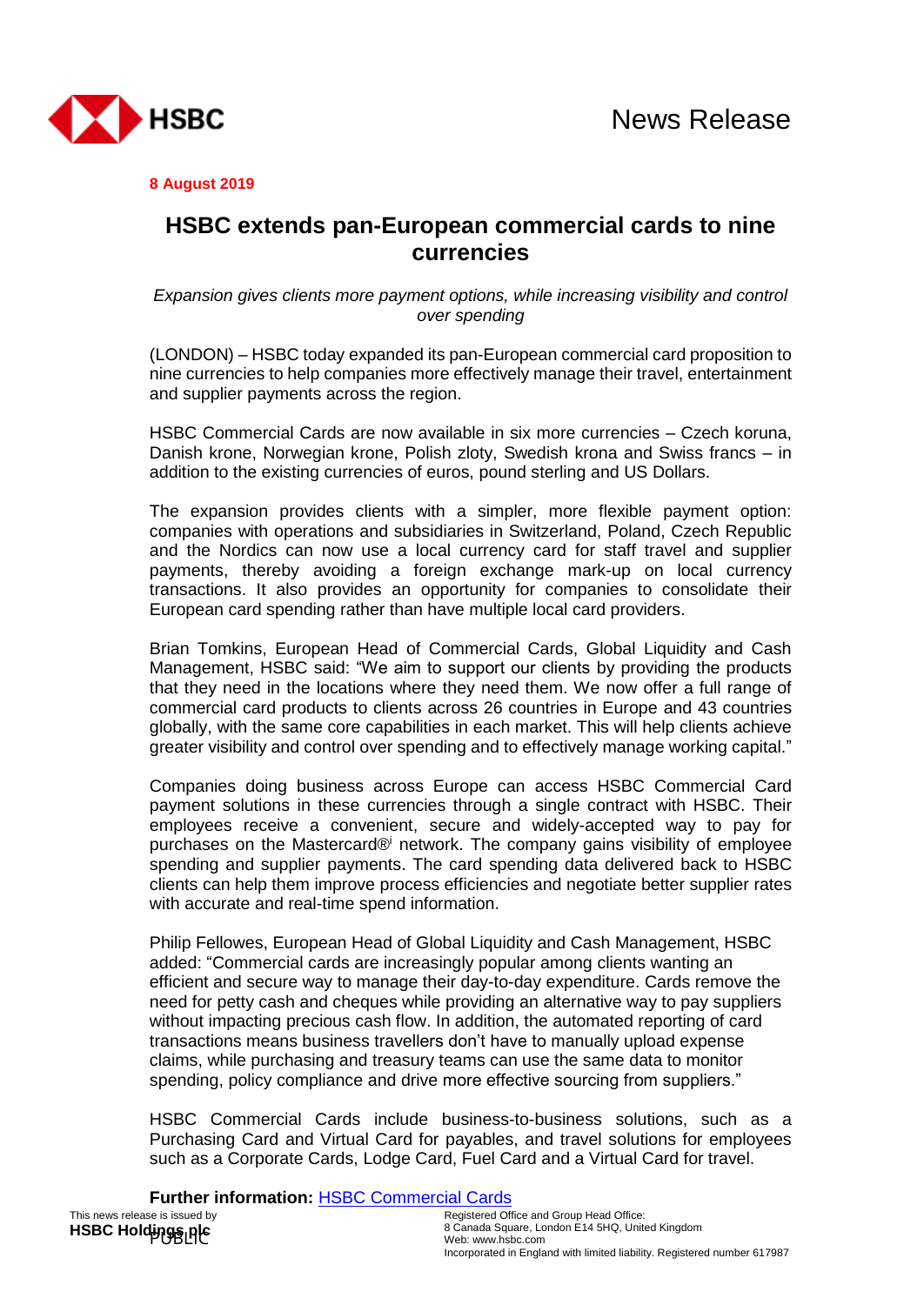

**8 August 2019**

## **HSBC extends pan-European commercial cards to nine currencies**

*Expansion gives clients more payment options, while increasing visibility and control over spending*

(LONDON) – HSBC today expanded its pan-European commercial card proposition to nine currencies to help companies more effectively manage their travel, entertainment and supplier payments across the region.

HSBC Commercial Cards are now available in six more currencies – Czech koruna, Danish krone, Norwegian krone, Polish zloty, Swedish krona and Swiss francs – in addition to the existing currencies of euros, pound sterling and US Dollars.

The expansion provides clients with a simpler, more flexible payment option: companies with operations and subsidiaries in Switzerland, Poland, Czech Republic and the Nordics can now use a local currency card for staff travel and supplier payments, thereby avoiding a foreign exchange mark-up on local currency transactions. It also provides an opportunity for companies to consolidate their European card spending rather than have multiple local card providers.

Brian Tomkins, European Head of Commercial Cards, Global Liquidity and Cash Management, HSBC said: "We aim to support our clients by providing the products that they need in the locations where they need them. We now offer a full range of commercial card products to clients across 26 countries in Europe and 43 countries globally, with the same core capabilities in each market. This will help clients achieve greater visibility and control over spending and to effectively manage working capital."

Companies doing business across Europe can access HSBC Commercial Card payment solutions in these currencies through a single contract with HSBC. Their employees receive a convenient, secure and widely-accepted way to pay for purchases on the Mastercard® network. The company gains visibility of employee spending and supplier payments. The card spending data delivered back to HSBC clients can help them improve process efficiencies and negotiate better supplier rates with accurate and real-time spend information.

Philip Fellowes, European Head of Global Liquidity and Cash Management, HSBC added: "Commercial cards are increasingly popular among clients wanting an efficient and secure way to manage their day-to-day expenditure. Cards remove the need for petty cash and cheques while providing an alternative way to pay suppliers without impacting precious cash flow. In addition, the automated reporting of card transactions means business travellers don't have to manually upload expense claims, while purchasing and treasury teams can use the same data to monitor spending, policy compliance and drive more effective sourcing from suppliers."

HSBC Commercial Cards include business-to-business solutions, such as a Purchasing Card and Virtual Card for payables, and travel solutions for employees such as a Corporate Cards, Lodge Card, Fuel Card and a Virtual Card for travel.